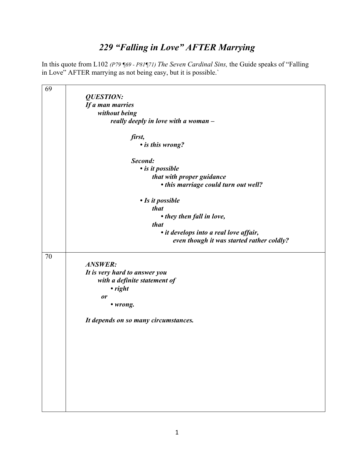## *229 "Falling in Love" AFTER Marrying*

In this quote from L102 *(P79 ¶69 - P81¶71) The Seven Cardinal Sins,* the Guide speaks of "Falling in Love" AFTER marrying as not being easy, but it is possible.`

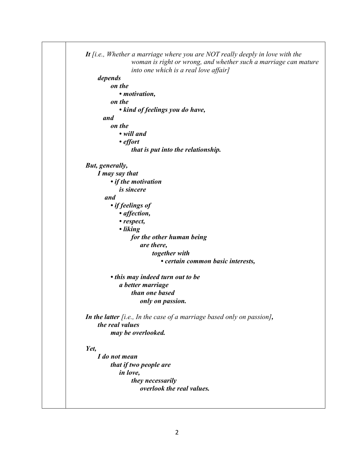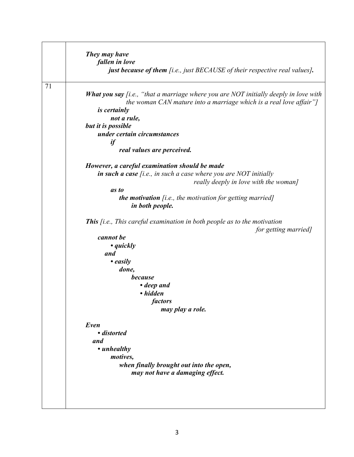|    | They may have                                                                                             |
|----|-----------------------------------------------------------------------------------------------------------|
|    | fallen in love                                                                                            |
|    | <b>just because of them</b> [i.e., just BECAUSE of their respective real values].                         |
| 71 | <b>What you say</b> [i.e., "that a marriage where you are NOT initially deeply in love with               |
|    | the woman CAN mature into a marriage which is a real love affair"]                                        |
|    | <i>is certainly</i><br>not a rule,                                                                        |
|    | but it is possible                                                                                        |
|    | under certain circumstances                                                                               |
|    | if                                                                                                        |
|    | real values are perceived.                                                                                |
|    | However, a careful examination should be made                                                             |
|    | in such a case $[i.e., in such a case where you are NOT initially$                                        |
|    | really deeply in love with the woman]                                                                     |
|    | as to                                                                                                     |
|    | <b>the motivation</b> [i.e., the motivation for getting married]<br>in both people.                       |
|    | <b>This</b> $[i.e., This careful examination in both people as to the motivation$<br>for getting married] |
|    | cannot be                                                                                                 |
|    | $\bullet$ quickly                                                                                         |
|    | and                                                                                                       |
|    | • easily                                                                                                  |
|    | done,                                                                                                     |
|    | because                                                                                                   |
|    | • deep and                                                                                                |
|    | • hidden                                                                                                  |
|    | factors                                                                                                   |
|    | may play a role.                                                                                          |
|    | Even                                                                                                      |
|    | • distorted                                                                                               |
|    | and                                                                                                       |
|    | • unhealthy                                                                                               |
|    | motives,                                                                                                  |
|    | when finally brought out into the open,                                                                   |
|    | may not have a damaging effect.                                                                           |
|    |                                                                                                           |
|    |                                                                                                           |